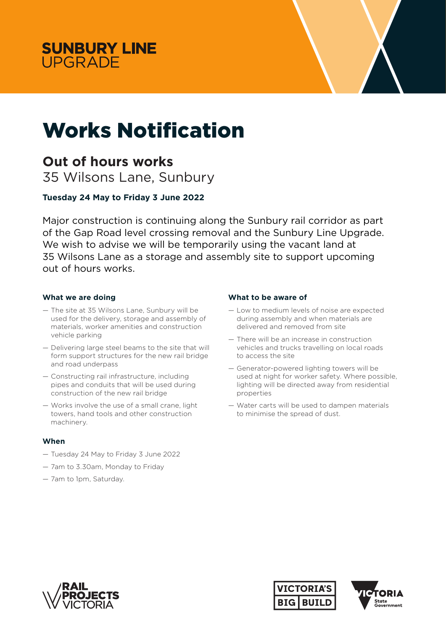



# Works Notification

## **Out of hours works**

35 Wilsons Lane, Sunbury

### **Tuesday 24 May to Friday 3 June 2022**

Major construction is continuing along the Sunbury rail corridor as part of the Gap Road level crossing removal and the Sunbury Line Upgrade. We wish to advise we will be temporarily using the vacant land at 35 Wilsons Lane as a storage and assembly site to support upcoming out of hours works.

#### **What we are doing**

- The site at 35 Wilsons Lane, Sunbury will be used for the delivery, storage and assembly of materials, worker amenities and construction vehicle parking
- Delivering large steel beams to the site that will form support structures for the new rail bridge and road underpass
- Constructing rail infrastructure, including pipes and conduits that will be used during construction of the new rail bridge
- Works involve the use of a small crane, light towers, hand tools and other construction machinery.

#### **When**

- Tuesday 24 May to Friday 3 June 2022
- 7am to 3.30am, Monday to Friday
- 7am to 1pm, Saturday.

#### **What to be aware of**

- Low to medium levels of noise are expected during assembly and when materials are delivered and removed from site
- There will be an increase in construction vehicles and trucks travelling on local roads to access the site
- Generator-powered lighting towers will be used at night for worker safety. Where possible, lighting will be directed away from residential properties
- Water carts will be used to dampen materials to minimise the spread of dust.